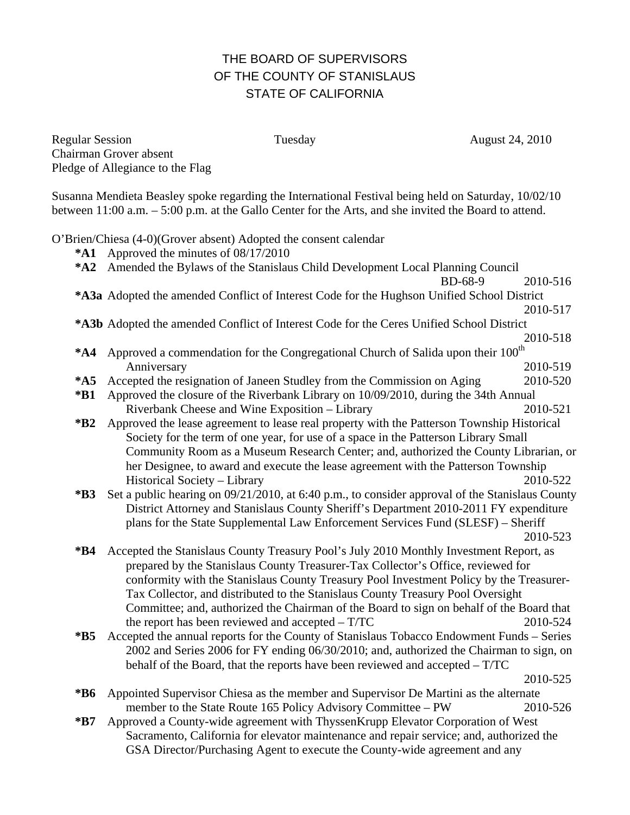## THE BOARD OF SUPERVISORS OF THE COUNTY OF STANISLAUS STATE OF CALIFORNIA

Regular Session Tuesday Tuesday August 24, 2010 Chairman Grover absent Pledge of Allegiance to the Flag

Susanna Mendieta Beasley spoke regarding the International Festival being held on Saturday, 10/02/10 between 11:00 a.m. – 5:00 p.m. at the Gallo Center for the Arts, and she invited the Board to attend.

O'Brien/Chiesa (4-0)(Grover absent) Adopted the consent calendar

- **\*A1** Approved the minutes of 08/17/2010
- **\*A2** Amended the Bylaws of the Stanislaus Child Development Local Planning Council BD-68-9 2010-516
- **\*A3a** Adopted the amended Conflict of Interest Code for the Hughson Unified School District
- 2010-517 **\*A3b** Adopted the amended Conflict of Interest Code for the Ceres Unified School District
- 2010-518 \*A4 Approved a commendation for the Congregational Church of Salida upon their 100<sup>th</sup> Anniversary 2010-519
- **\*A5** Accepted the resignation of Janeen Studley from the Commission on Aging 2010-520
- **\*B1** Approved the closure of the Riverbank Library on 10/09/2010, during the 34th Annual Riverbank Cheese and Wine Exposition – Library 2010-521
- **\*B2** Approved the lease agreement to lease real property with the Patterson Township Historical Society for the term of one year, for use of a space in the Patterson Library Small Community Room as a Museum Research Center; and, authorized the County Librarian, or her Designee, to award and execute the lease agreement with the Patterson Township Historical Society – Library 2010-522
- **\*B3** Set a public hearing on 09/21/2010, at 6:40 p.m., to consider approval of the Stanislaus County District Attorney and Stanislaus County Sheriff's Department 2010-2011 FY expenditure plans for the State Supplemental Law Enforcement Services Fund (SLESF) – Sheriff 2010-523
- **\*B4** Accepted the Stanislaus County Treasury Pool's July 2010 Monthly Investment Report, as prepared by the Stanislaus County Treasurer-Tax Collector's Office, reviewed for conformity with the Stanislaus County Treasury Pool Investment Policy by the Treasurer-Tax Collector, and distributed to the Stanislaus County Treasury Pool Oversight Committee; and, authorized the Chairman of the Board to sign on behalf of the Board that the report has been reviewed and accepted – T/TC 2010-524
- **\*B5** Accepted the annual reports for the County of Stanislaus Tobacco Endowment Funds Series 2002 and Series 2006 for FY ending 06/30/2010; and, authorized the Chairman to sign, on behalf of the Board, that the reports have been reviewed and accepted – T/TC

- **\*B6** Appointed Supervisor Chiesa as the member and Supervisor De Martini as the alternate member to the State Route 165 Policy Advisory Committee – PW 2010-526
- **\*B7** Approved a County-wide agreement with ThyssenKrupp Elevator Corporation of West Sacramento, California for elevator maintenance and repair service; and, authorized the GSA Director/Purchasing Agent to execute the County-wide agreement and any

2010-525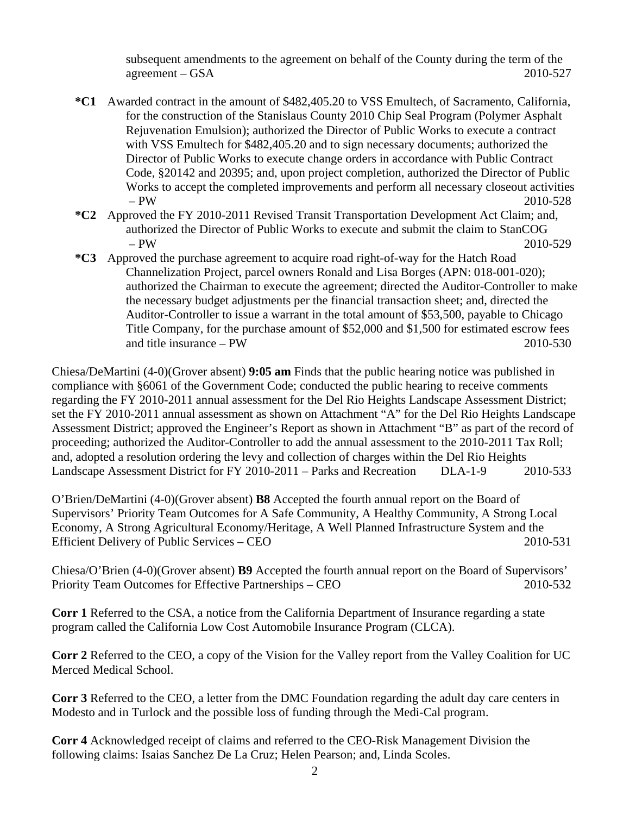subsequent amendments to the agreement on behalf of the County during the term of the agreement – GSA 2010-527

- **\*C1** Awarded contract in the amount of \$482,405.20 to VSS Emultech, of Sacramento, California, for the construction of the Stanislaus County 2010 Chip Seal Program (Polymer Asphalt Rejuvenation Emulsion); authorized the Director of Public Works to execute a contract with VSS Emultech for \$482,405.20 and to sign necessary documents; authorized the Director of Public Works to execute change orders in accordance with Public Contract Code, §20142 and 20395; and, upon project completion, authorized the Director of Public Works to accept the completed improvements and perform all necessary closeout activities – PW 2010-528
- **\*C2** Approved the FY 2010-2011 Revised Transit Transportation Development Act Claim; and, authorized the Director of Public Works to execute and submit the claim to StanCOG – PW 2010-529
- **\*C3** Approved the purchase agreement to acquire road right-of-way for the Hatch Road Channelization Project, parcel owners Ronald and Lisa Borges (APN: 018-001-020); authorized the Chairman to execute the agreement; directed the Auditor-Controller to make the necessary budget adjustments per the financial transaction sheet; and, directed the Auditor-Controller to issue a warrant in the total amount of \$53,500, payable to Chicago Title Company, for the purchase amount of \$52,000 and \$1,500 for estimated escrow fees and title insurance – PW 2010-530

Chiesa/DeMartini (4-0)(Grover absent) **9:05 am** Finds that the public hearing notice was published in compliance with §6061 of the Government Code; conducted the public hearing to receive comments regarding the FY 2010-2011 annual assessment for the Del Rio Heights Landscape Assessment District; set the FY 2010-2011 annual assessment as shown on Attachment "A" for the Del Rio Heights Landscape Assessment District; approved the Engineer's Report as shown in Attachment "B" as part of the record of proceeding; authorized the Auditor-Controller to add the annual assessment to the 2010-2011 Tax Roll; and, adopted a resolution ordering the levy and collection of charges within the Del Rio Heights Landscape Assessment District for FY 2010-2011 – Parks and Recreation DLA-1-9 2010-533

O'Brien/DeMartini (4-0)(Grover absent) **B8** Accepted the fourth annual report on the Board of Supervisors' Priority Team Outcomes for A Safe Community, A Healthy Community, A Strong Local Economy, A Strong Agricultural Economy/Heritage, A Well Planned Infrastructure System and the Efficient Delivery of Public Services – CEO 2010-531

Chiesa/O'Brien (4-0)(Grover absent) **B9** Accepted the fourth annual report on the Board of Supervisors' Priority Team Outcomes for Effective Partnerships – CEO 2010-532

**Corr 1** Referred to the CSA, a notice from the California Department of Insurance regarding a state program called the California Low Cost Automobile Insurance Program (CLCA).

**Corr 2** Referred to the CEO, a copy of the Vision for the Valley report from the Valley Coalition for UC Merced Medical School.

**Corr 3** Referred to the CEO, a letter from the DMC Foundation regarding the adult day care centers in Modesto and in Turlock and the possible loss of funding through the Medi-Cal program.

**Corr 4** Acknowledged receipt of claims and referred to the CEO-Risk Management Division the following claims: Isaias Sanchez De La Cruz; Helen Pearson; and, Linda Scoles.